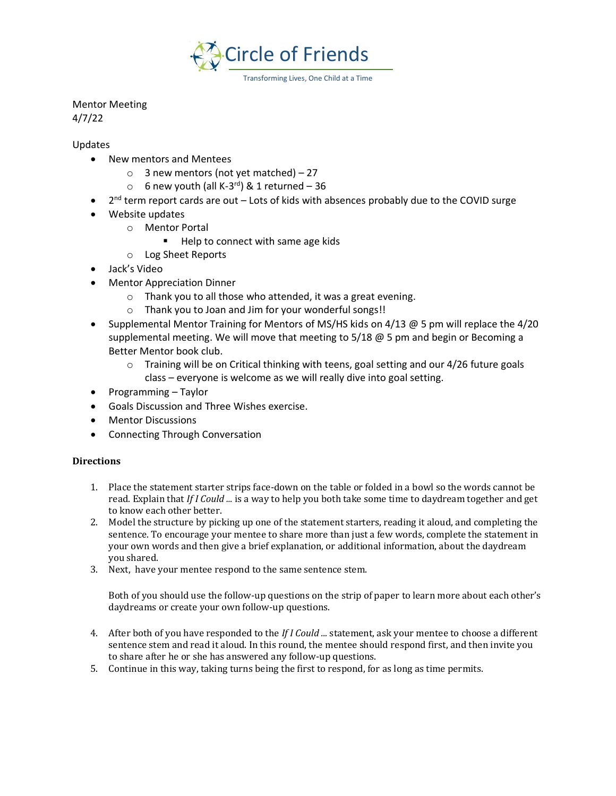

Mentor Meeting 4/7/22

Updates

- New mentors and Mentees
	- $\circ$  3 new mentors (not yet matched) 27
	- $\circ$  6 new youth (all K-3<sup>rd</sup>) & 1 returned 36
- 2<sup>nd</sup> term report cards are out Lots of kids with absences probably due to the COVID surge
- Website updates
	- o Mentor Portal
		- Help to connect with same age kids
	- o Log Sheet Reports
- Jack's Video
- Mentor Appreciation Dinner
	- o Thank you to all those who attended, it was a great evening.
	- o Thank you to Joan and Jim for your wonderful songs!!
- Supplemental Mentor Training for Mentors of MS/HS kids on 4/13 @ 5 pm will replace the 4/20 supplemental meeting. We will move that meeting to  $5/18 \text{ } \textcircled{e} 5$  pm and begin or Becoming a Better Mentor book club.
	- $\circ$  Training will be on Critical thinking with teens, goal setting and our 4/26 future goals class – everyone is welcome as we will really dive into goal setting.
- Programming Taylor
- Goals Discussion and Three Wishes exercise.
- Mentor Discussions
- Connecting Through Conversation

## **Directions**

- 1. Place the statement starter strips face-down on the table or folded in a bowl so the words cannot be read. Explain that *If I Could ...* is a way to help you both take some time to daydream together and get to know each other better.
- 2. Model the structure by picking up one of the statement starters, reading it aloud, and completing the sentence. To encourage your mentee to share more than just a few words, complete the statement in your own words and then give a brief explanation, or additional information, about the daydream you shared.
- 3. Next, have your mentee respond to the same sentence stem.

Both of you should use the follow-up questions on the strip of paper to learn more about each other's daydreams or create your own follow-up questions.

- 4. After both of you have responded to the *If I Could ...* statement, ask your mentee to choose a different sentence stem and read it aloud. In this round, the mentee should respond first, and then invite you to share after he or she has answered any follow-up questions.
- 5. Continue in this way, taking turns being the first to respond, for as long as time permits.